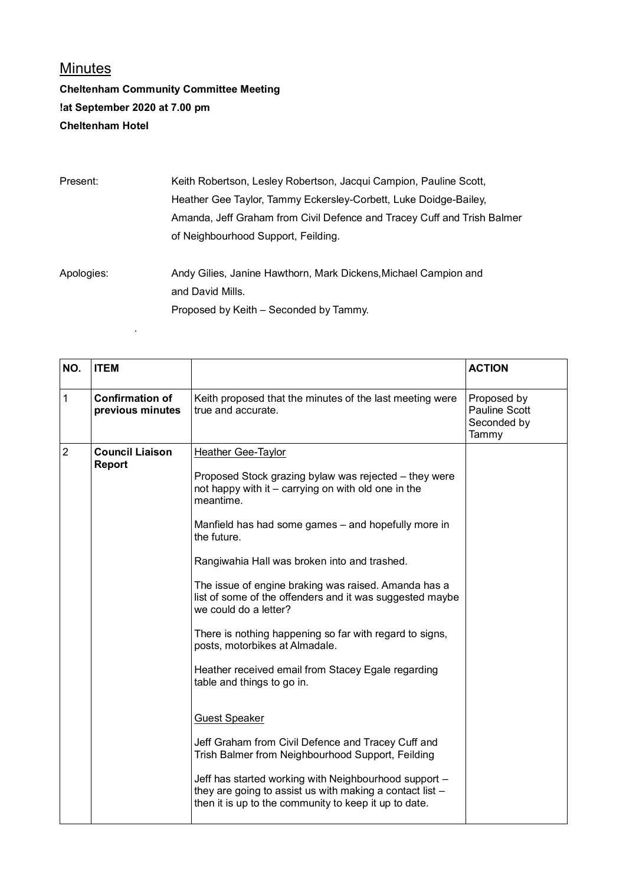## Minutes

## **Cheltenham Community Committee Meeting !at September 2020 at 7.00 pm Cheltenham Hotel**

.

Present: Keith Robertson, Lesley Robertson, Jacqui Campion, Pauline Scott, Heather Gee Taylor, Tammy Eckersley-Corbett, Luke Doidge-Bailey, Amanda, Jeff Graham from Civil Defence and Tracey Cuff and Trish Balmer of Neighbourhood Support, Feilding.

Apologies: Andy Gilies, Janine Hawthorn, Mark Dickens,Michael Campion and and David Mills. Proposed by Keith – Seconded by Tammy.

| NO.            | <b>ITEM</b>                                |                                                                                                                                                                                                                                                                                                                                                                                                                                                                                                                                                                                                                                                                                                                                                                                                                                                                                                                      | <b>ACTION</b>                                               |
|----------------|--------------------------------------------|----------------------------------------------------------------------------------------------------------------------------------------------------------------------------------------------------------------------------------------------------------------------------------------------------------------------------------------------------------------------------------------------------------------------------------------------------------------------------------------------------------------------------------------------------------------------------------------------------------------------------------------------------------------------------------------------------------------------------------------------------------------------------------------------------------------------------------------------------------------------------------------------------------------------|-------------------------------------------------------------|
| 1              | <b>Confirmation of</b><br>previous minutes | Keith proposed that the minutes of the last meeting were<br>true and accurate.                                                                                                                                                                                                                                                                                                                                                                                                                                                                                                                                                                                                                                                                                                                                                                                                                                       | Proposed by<br><b>Pauline Scott</b><br>Seconded by<br>Tammy |
| $\overline{2}$ | <b>Council Liaison</b><br><b>Report</b>    | Heather Gee-Taylor<br>Proposed Stock grazing bylaw was rejected - they were<br>not happy with it – carrying on with old one in the<br>meantime.<br>Manfield has had some games - and hopefully more in<br>the future.<br>Rangiwahia Hall was broken into and trashed.<br>The issue of engine braking was raised. Amanda has a<br>list of some of the offenders and it was suggested maybe<br>we could do a letter?<br>There is nothing happening so far with regard to signs,<br>posts, motorbikes at Almadale.<br>Heather received email from Stacey Egale regarding<br>table and things to go in.<br><b>Guest Speaker</b><br>Jeff Graham from Civil Defence and Tracey Cuff and<br>Trish Balmer from Neighbourhood Support, Feilding<br>Jeff has started working with Neighbourhood support -<br>they are going to assist us with making a contact list -<br>then it is up to the community to keep it up to date. |                                                             |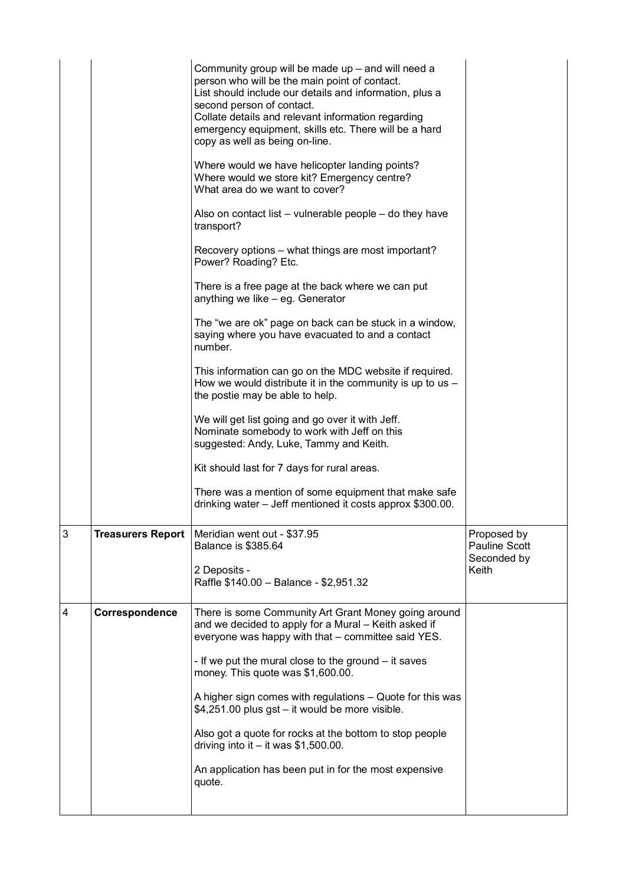|                |                          | Community group will be made up - and will need a<br>person who will be the main point of contact.<br>List should include our details and information, plus a<br>second person of contact.<br>Collate details and relevant information regarding<br>emergency equipment, skills etc. There will be a hard<br>copy as well as being on-line.<br>Where would we have helicopter landing points?<br>Where would we store kit? Emergency centre?<br>What area do we want to cover?<br>Also on contact list – vulnerable people – do they have<br>transport?<br>Recovery options - what things are most important?<br>Power? Roading? Etc.<br>There is a free page at the back where we can put<br>anything we like - eg. Generator<br>The "we are ok" page on back can be stuck in a window,<br>saying where you have evacuated to and a contact<br>number.<br>This information can go on the MDC website if required.<br>How we would distribute it in the community is up to us $-$<br>the postie may be able to help.<br>We will get list going and go over it with Jeff.<br>Nominate somebody to work with Jeff on this<br>suggested: Andy, Luke, Tammy and Keith.<br>Kit should last for 7 days for rural areas.<br>There was a mention of some equipment that make safe<br>drinking water – Jeff mentioned it costs approx \$300.00. |                                                             |
|----------------|--------------------------|----------------------------------------------------------------------------------------------------------------------------------------------------------------------------------------------------------------------------------------------------------------------------------------------------------------------------------------------------------------------------------------------------------------------------------------------------------------------------------------------------------------------------------------------------------------------------------------------------------------------------------------------------------------------------------------------------------------------------------------------------------------------------------------------------------------------------------------------------------------------------------------------------------------------------------------------------------------------------------------------------------------------------------------------------------------------------------------------------------------------------------------------------------------------------------------------------------------------------------------------------------------------------------------------------------------------------------------|-------------------------------------------------------------|
| 3              | <b>Treasurers Report</b> | Meridian went out - \$37.95<br><b>Balance is \$385.64</b><br>2 Deposits -<br>Raffle \$140.00 - Balance - \$2,951.32                                                                                                                                                                                                                                                                                                                                                                                                                                                                                                                                                                                                                                                                                                                                                                                                                                                                                                                                                                                                                                                                                                                                                                                                                    | Proposed by<br><b>Pauline Scott</b><br>Seconded by<br>Keith |
| $\overline{4}$ | Correspondence           | There is some Community Art Grant Money going around<br>and we decided to apply for a Mural - Keith asked if<br>everyone was happy with that - committee said YES.<br>- If we put the mural close to the ground – it saves<br>money. This quote was \$1,600.00.<br>A higher sign comes with regulations – Quote for this was<br>\$4,251.00 plus gst – it would be more visible.<br>Also got a quote for rocks at the bottom to stop people<br>driving into it $-$ it was \$1,500.00.<br>An application has been put in for the most expensive<br>quote.                                                                                                                                                                                                                                                                                                                                                                                                                                                                                                                                                                                                                                                                                                                                                                                |                                                             |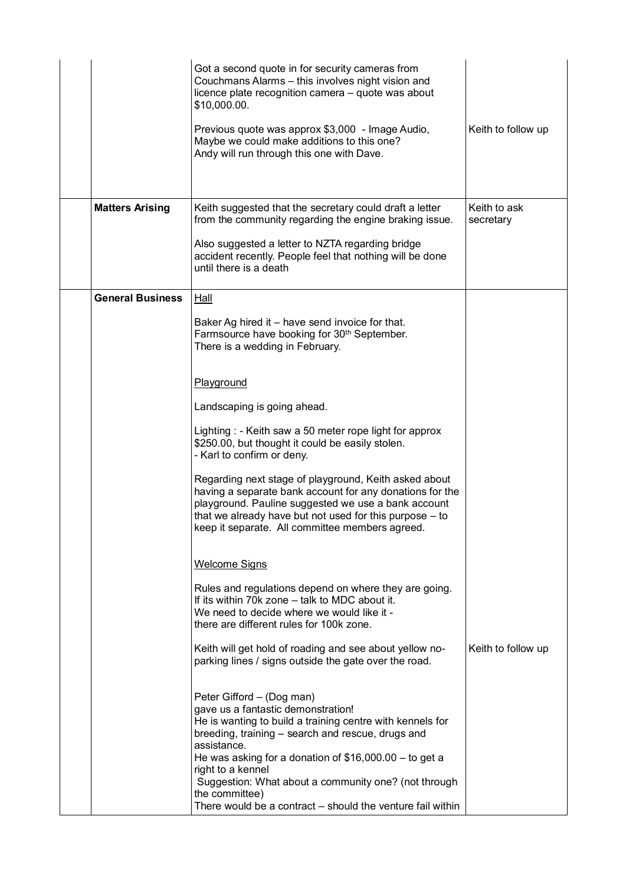|                         | Got a second quote in for security cameras from<br>Couchmans Alarms - this involves night vision and<br>licence plate recognition camera - quote was about<br>\$10,000.00.<br>Previous quote was approx \$3,000 - Image Audio,<br>Maybe we could make additions to this one?<br>Andy will run through this one with Dave.                                                                                                | Keith to follow up        |
|-------------------------|--------------------------------------------------------------------------------------------------------------------------------------------------------------------------------------------------------------------------------------------------------------------------------------------------------------------------------------------------------------------------------------------------------------------------|---------------------------|
| <b>Matters Arising</b>  | Keith suggested that the secretary could draft a letter<br>from the community regarding the engine braking issue.<br>Also suggested a letter to NZTA regarding bridge<br>accident recently. People feel that nothing will be done<br>until there is a death                                                                                                                                                              | Keith to ask<br>secretary |
| <b>General Business</b> | <b>Hall</b>                                                                                                                                                                                                                                                                                                                                                                                                              |                           |
|                         | Baker Ag hired it - have send invoice for that.<br>Farmsource have booking for 30 <sup>th</sup> September.<br>There is a wedding in February.                                                                                                                                                                                                                                                                            |                           |
|                         | Playground                                                                                                                                                                                                                                                                                                                                                                                                               |                           |
|                         | Landscaping is going ahead.                                                                                                                                                                                                                                                                                                                                                                                              |                           |
|                         | Lighting : - Keith saw a 50 meter rope light for approx<br>\$250.00, but thought it could be easily stolen.<br>- Karl to confirm or deny.                                                                                                                                                                                                                                                                                |                           |
|                         | Regarding next stage of playground, Keith asked about<br>having a separate bank account for any donations for the<br>playground. Pauline suggested we use a bank account<br>that we already have but not used for this purpose - to<br>keep it separate. All committee members agreed.                                                                                                                                   |                           |
|                         | <b>Welcome Signs</b>                                                                                                                                                                                                                                                                                                                                                                                                     |                           |
|                         | Rules and regulations depend on where they are going.<br>If its within 70k zone - talk to MDC about it.<br>We need to decide where we would like it -<br>there are different rules for 100k zone.                                                                                                                                                                                                                        |                           |
|                         | Keith will get hold of roading and see about yellow no-<br>parking lines / signs outside the gate over the road.                                                                                                                                                                                                                                                                                                         | Keith to follow up        |
|                         | Peter Gifford - (Dog man)<br>gave us a fantastic demonstration!<br>He is wanting to build a training centre with kennels for<br>breeding, training - search and rescue, drugs and<br>assistance.<br>He was asking for a donation of $$16,000.00 -$ to get a<br>right to a kennel<br>Suggestion: What about a community one? (not through<br>the committee)<br>There would be a contract – should the venture fail within |                           |